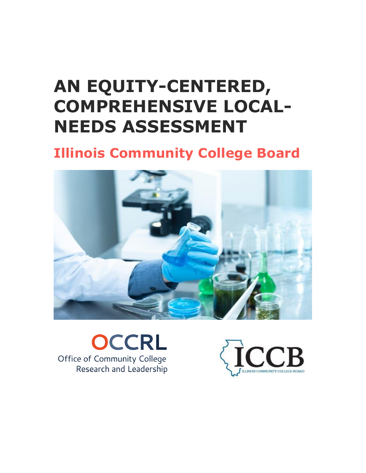## **AN EQUITY-CENTERED, COMPREHENSIVE LOCAL-NEEDS ASSESSMENT**

## **Illinois Community College Board**



**OCCRL** Office of Community College Research and Leadership

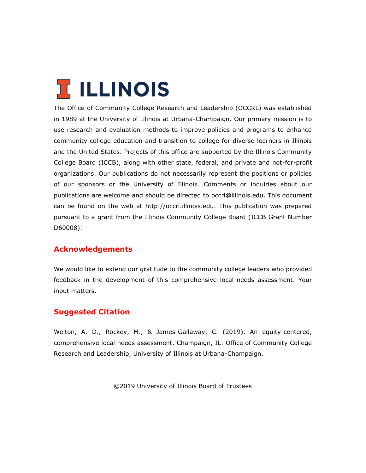# **T ILLINOIS**

The Office of Community College Research and Leadership (OCCRL) was established in 1989 at the University of Illinois at Urbana-Champaign. Our primary mission is to use research and evaluation methods to improve policies and programs to enhance community college education and transition to college for diverse learners in Illinois and the United States. Projects of this office are supported by the Illinois Community College Board (ICCB), along with other state, federal, and private and not-for-profit organizations. Our publications do not necessarily represent the positions or policies of our sponsors or the University of Illinois. Comments or inquiries about our publications are welcome and should be directed to occrl@illinois.edu. This document can be found on the web at http://occrl.illinois.edu. This publication was prepared pursuant to a grant from the Illinois Community College Board (ICCB Grant Number D60008).

#### **Acknowledgements**

We would like to extend our gratitude to the community college leaders who provided feedback in the development of this comprehensive local-needs assessment. Your input matters.

#### **Suggested Citation**

Welton, A. D., Rockey, M., & James-Gallaway, C. (2019). An equity-centered, comprehensive local needs assessment. Champaign, IL: Office of Community College Research and Leadership, University of Illinois at Urbana-Champaign.

©2019 University of Illinois Board of Trustees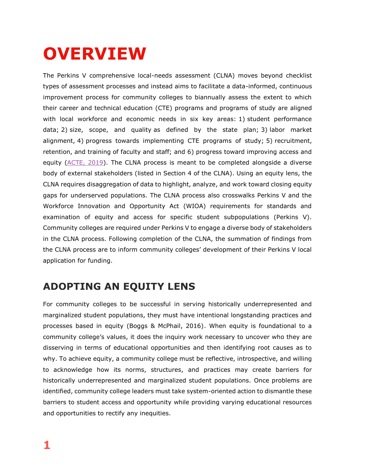## **OVERVIEW**

The Perkins V comprehensive local-needs assessment (CLNA) moves beyond checklist types of assessment processes and instead aims to facilitate a data-informed, continuous improvement process for community colleges to biannually assess the extent to which their career and technical education (CTE) programs and programs of study are aligned with local workforce and economic needs in six key areas: 1) student performance data; 2) size, scope, and quality as defined by the state plan; 3) labor market alignment, 4) progress towards implementing CTE programs of study; 5) recruitment, retention, and training of faculty and staff; and 6) progress toward improving access and equity (ACTE, 2019). The CLNA process is meant to be completed alongside a diverse body of external stakeholders (listed in Section 4 of the CLNA). Using an equity lens, the CLNA requires disaggregation of data to highlight, analyze, and work toward closing equity gaps for underserved populations. The CLNA process also crosswalks Perkins V and the Workforce Innovation and Opportunity Act (WIOA) requirements for standards and examination of equity and access for specific student subpopulations (Perkins V). Community colleges are required under Perkins V to engage a diverse body of stakeholders in the CLNA process. Following completion of the CLNA, the summation of findings from the CLNA process are to inform community colleges' development of their Perkins V local application for funding.

## **ADOPTING AN EQUITY LENS**

For community colleges to be successful in serving historically underrepresented and marginalized student populations, they must have intentional longstanding practices and processes based in equity (Boggs & McPhail, 2016). When equity is foundational to a community college's values, it does the inquiry work necessary to uncover who they are disserving in terms of educational opportunities and then identifying root causes as to why. To achieve equity, a community college must be reflective, introspective, and willing to acknowledge how its norms, structures, and practices may create barriers for historically underrepresented and marginalized student populations. Once problems are identified, community college leaders must take system-oriented action to dismantle these barriers to student access and opportunity while providing varying educational resources and opportunities to rectify any inequities.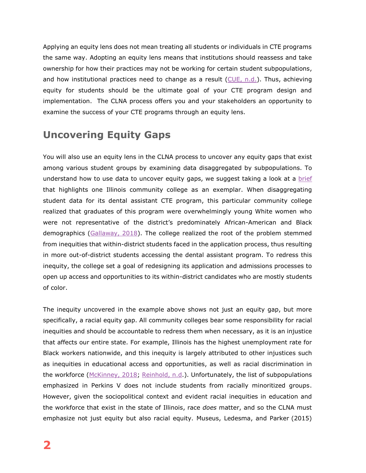Applying an equity lens does not mean treating all students or individuals in CTE programs the same way. Adopting an equity lens means that institutions should reassess and take ownership for how their practices may not be working for certain student subpopulations, and how institutional practices need to change as a result  $(CUE, n.d.)$ . Thus, achieving equity for students should be the ultimate goal of your CTE program design and implementation. The CLNA process offers you and your stakeholders an opportunity to examine the success of your CTE programs through an equity lens.

## **Uncovering Equity Gaps**

You will also use an equity lens in the CLNA process to uncover any equity gaps that exist among various student groups by examining data disaggregated by subpopulations. To understand how to use data to uncover equity gaps, we suggest taking a look at a brief that highlights one Illinois community college as an exemplar. When disaggregating student data for its dental assistant CTE program, this particular community college realized that graduates of this program were overwhelmingly young White women who were not representative of the district's predominately African-American and Black demographics (Gallaway, 2018). The college realized the root of the problem stemmed from inequities that within-district students faced in the application process, thus resulting in more out-of-district students accessing the dental assistant program. To redress this inequity, the college set a goal of redesigning its application and admissions processes to open up access and opportunities to its within-district candidates who are mostly students of color.

The inequity uncovered in the example above shows not just an equity gap, but more specifically, a racial equity gap. All community colleges bear some responsibility for racial inequities and should be accountable to redress them when necessary, as it is an injustice that affects our entire state. For example, Illinois has the highest unemployment rate for Black workers nationwide, and this inequity is largely attributed to other injustices such as inequities in educational access and opportunities, as well as racial discrimination in the workforce (McKinney, 2018; Reinhold, n.d.). Unfortunately, the list of subpopulations emphasized in Perkins V does not include students from racially minoritized groups. However, given the sociopolitical context and evident racial inequities in education and the workforce that exist in the state of Illinois, race *does* matter, and so the CLNA must emphasize not just equity but also racial equity. Museus, Ledesma, and Parker (2015)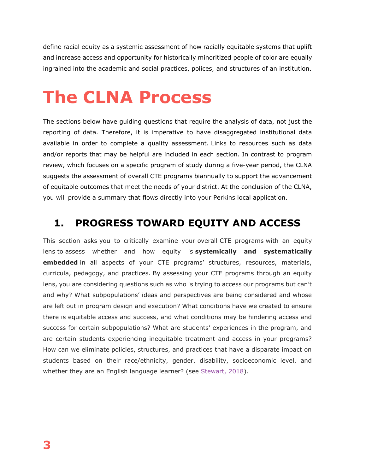define racial equity as a systemic assessment of how racially equitable systems that uplift and increase access and opportunity for historically minoritized people of color are equally ingrained into the academic and social practices, polices, and structures of an institution.

## **The CLNA Process**

The sections below have guiding questions that require the analysis of data, not just the reporting of data. Therefore, it is imperative to have disaggregated institutional data available in order to complete a quality assessment. Links to resources such as data and/or reports that may be helpful are included in each section. In contrast to program review, which focuses on a specific program of study during a five-year period, the CLNA suggests the assessment of overall CTE programs biannually to support the advancement of equitable outcomes that meet the needs of your district. At the conclusion of the CLNA, you will provide a summary that flows directly into your Perkins local application.

### **1. PROGRESS TOWARD EQUITY AND ACCESS**

This section asks you to critically examine your overall CTE programs with an equity lens to assess whether and how equity is **systemically and systematically embedded** in all aspects of your CTE programs' structures, resources, materials, curricula, pedagogy, and practices. By assessing your CTE programs through an equity lens, you are considering questions such as who is trying to access our programs but can't and why? What subpopulations' ideas and perspectives are being considered and whose are left out in program design and execution? What conditions have we created to ensure there is equitable access and success, and what conditions may be hindering access and success for certain subpopulations? What are students' experiences in the program, and are certain students experiencing inequitable treatment and access in your programs? How can we eliminate policies, structures, and practices that have a disparate impact on students based on their race/ethnicity, gender, disability, socioeconomic level, and whether they are an English language learner? (see Stewart, 2018).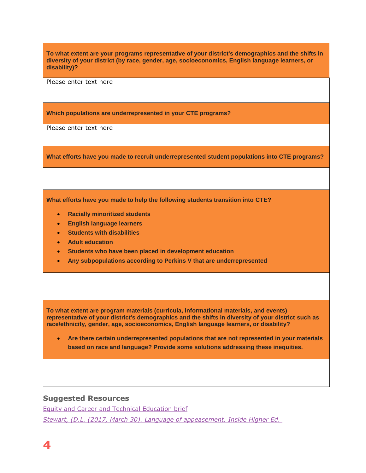**To what extent are your programs representative of your district's demographics and the shifts in diversity of your district (by race, gender, age, socioeconomics, English language learners, or disability)?**

Please enter text here

**Which populations are underrepresented in your CTE programs?**

Please enter text here

**What efforts have you made to recruit underrepresented student populations into CTE programs?**

**What efforts have you made to help the following students transition into CTE?**

- **Racially minoritized students**
- **English language learners**
- **Students with disabilities**
- **Adult education**
- **Students who have been placed in development education**
- **Any subpopulations according to Perkins V that are underrepresented**

**To what extent are program materials (curricula, informational materials, and events) representative of your district's demographics and the shifts in diversity of your district such as race/ethnicity, gender, age, socioeconomics, English language learners, or disability?**

 **Are there certain underrepresented populations that are not represented in your materials based on race and language? Provide some solutions addressing these inequities.**

#### **Suggested Resources**

Equity and Career and Technical Education brief *Stewart, (D.L. (2017, March 30). Language of appeasement. Inside Higher Ed.*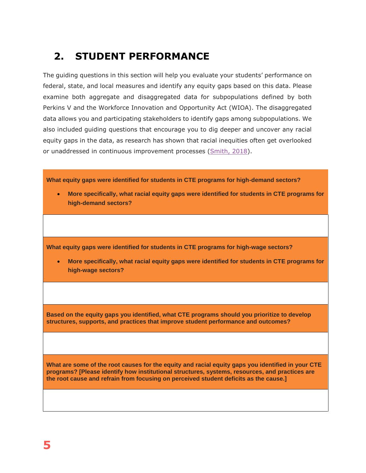## **2. STUDENT PERFORMANCE**

The guiding questions in this section will help you evaluate your students' performance on federal, state, and local measures and identify any equity gaps based on this data. Please examine both aggregate and disaggregated data for subpopulations defined by both Perkins V and the Workforce Innovation and Opportunity Act (WIOA). The disaggregated data allows you and participating stakeholders to identify gaps among subpopulations. We also included guiding questions that encourage you to dig deeper and uncover any racial equity gaps in the data, as research has shown that racial inequities often get overlooked or unaddressed in continuous improvement processes (Smith, 2018).

**What equity gaps were identified for students in CTE programs for high-demand sectors?**

 **More specifically, what racial equity gaps were identified for students in CTE programs for high-demand sectors?**

**What equity gaps were identified for students in CTE programs for high-wage sectors?**

 **More specifically, what racial equity gaps were identified for students in CTE programs for high-wage sectors?**

**Based on the equity gaps you identified, what CTE programs should you prioritize to develop structures, supports, and practices that improve student performance and outcomes?**

**What are some of the root causes for the equity and racial equity gaps you identified in your CTE programs? [Please identify how institutional structures, systems, resources, and practices are the root cause and refrain from focusing on perceived student deficits as the cause.]**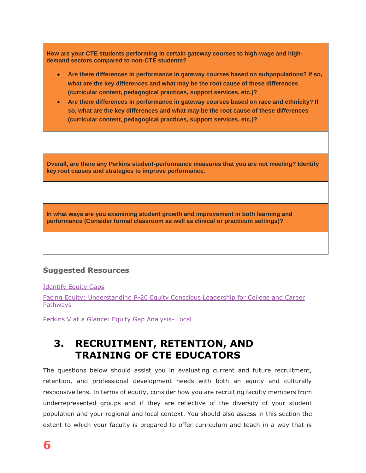| How are your CTE students performing in certain gateway courses to high-wage and high-<br>demand sectors compared to non-CTE students?                                                                                                                                                                                                                                                                                                                                                                                                   |  |  |  |  |
|------------------------------------------------------------------------------------------------------------------------------------------------------------------------------------------------------------------------------------------------------------------------------------------------------------------------------------------------------------------------------------------------------------------------------------------------------------------------------------------------------------------------------------------|--|--|--|--|
| Are there differences in performance in gateway courses based on subpopulations? If so,<br>$\bullet$<br>what are the key differences and what may be the root cause of these differences<br>(curricular content, pedagogical practices, support services, etc.)?<br>Are there differences in performance in gateway courses based on race and ethnicity? If<br>$\bullet$<br>so, what are the key differences and what may be the root cause of these differences<br>(curricular content, pedagogical practices, support services, etc.)? |  |  |  |  |
|                                                                                                                                                                                                                                                                                                                                                                                                                                                                                                                                          |  |  |  |  |
| Overall, are there any Perkins student-performance measures that you are not meeting? Identify<br>key root causes and strategies to improve performance.                                                                                                                                                                                                                                                                                                                                                                                 |  |  |  |  |
|                                                                                                                                                                                                                                                                                                                                                                                                                                                                                                                                          |  |  |  |  |
| In what ways are you examining student growth and improvement in both learning and<br>performance (Consider formal classroom as well as clinical or practicum settings)?                                                                                                                                                                                                                                                                                                                                                                 |  |  |  |  |
|                                                                                                                                                                                                                                                                                                                                                                                                                                                                                                                                          |  |  |  |  |

#### **Suggested Resources**

Identify Equity Gaps

Facing Equity: Understanding P-20 Equity Conscious Leadership for College and Career **Pathways** 

Perkins V at a Glance: Equity Gap Analysis- Local

## **3. RECRUITMENT, RETENTION, AND TRAINING OF CTE EDUCATORS**

The questions below should assist you in evaluating current and future recruitment, retention, and professional development needs with both an equity and culturally responsive lens. In terms of equity, consider how you are recruiting faculty members from underrepresented groups and if they are reflective of the diversity of your student population and your regional and local context. You should also assess in this section the extent to which your faculty is prepared to offer curriculum and teach in a way that is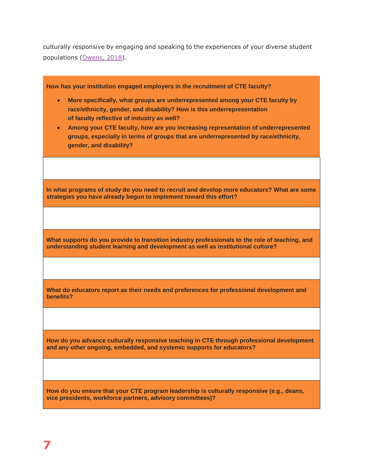culturally responsive by engaging and speaking to the experiences of your diverse student populations (Owens, 2018).

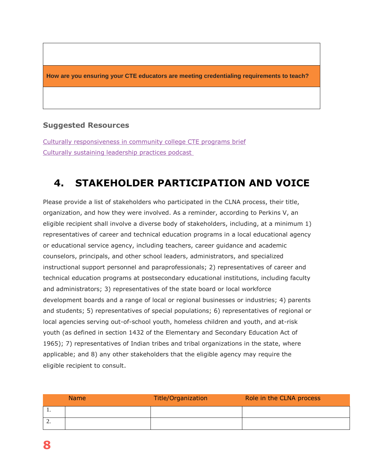**How are you ensuring your CTE educators are meeting credentialing requirements to teach?**

#### **Suggested Resources**

Culturally responsiveness in community college CTE programs brief Culturally sustaining leadership practices podcast

## **4. STAKEHOLDER PARTICIPATION AND VOICE**

Please provide a list of stakeholders who participated in the CLNA process, their title, organization, and how they were involved. As a reminder, according to Perkins V, an eligible recipient shall involve a diverse body of stakeholders, including, at a minimum 1) representatives of career and technical education programs in a local educational agency or educational service agency, including teachers, career guidance and academic counselors, principals, and other school leaders, administrators, and specialized instructional support personnel and paraprofessionals; 2) representatives of career and technical education programs at postsecondary educational institutions, including faculty and administrators; 3) representatives of the state board or local workforce development boards and a range of local or regional businesses or industries; 4) parents and students; 5) representatives of special populations; 6) representatives of regional or local agencies serving out-of-school youth, homeless children and youth, and at-risk youth (as defined in section 1432 of the Elementary and Secondary Education Act of 1965); 7) representatives of Indian tribes and tribal organizations in the state, where applicable; and 8) any other stakeholders that the eligible agency may require the eligible recipient to consult.

|          | <b>Name</b> | Title/Organization | Role in the CLNA process |
|----------|-------------|--------------------|--------------------------|
| . .      |             |                    |                          |
| <u>.</u> |             |                    |                          |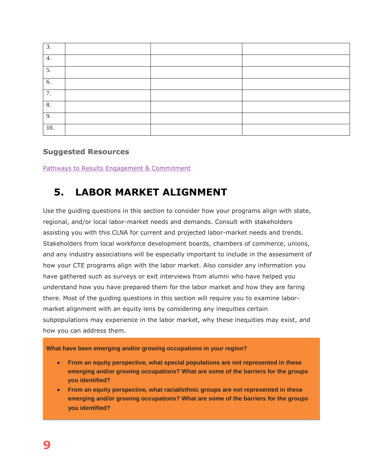| 3.  |  |  |
|-----|--|--|
| 4.  |  |  |
| 5.  |  |  |
| 6.  |  |  |
| 7.  |  |  |
| 8.  |  |  |
| 9.  |  |  |
| 10. |  |  |

#### **Suggested Resources**

Pathways to Results Engagement & Commitment

### **5. LABOR MARKET ALIGNMENT**

Use the guiding questions in this section to consider how your programs align with state, regional, and/or local labor-market needs and demands. Consult with stakeholders assisting you with this CLNA for current and projected labor-market needs and trends. Stakeholders from local workforce development boards, chambers of commerce, unions, and any industry associations will be especially important to include in the assessment of how your CTE programs align with the labor market. Also consider any information you have gathered such as surveys or exit interviews from alumni who have helped you understand how you have prepared them for the labor market and how they are faring there. Most of the guiding questions in this section will require you to examine labormarket alignment with an equity lens by considering any inequities certain subpopulations may experience in the labor market, why these inequities may exist, and how you can address them.

**What have been emerging and/or growing occupations in your region?**

- **From an equity perspective, what special populations are not represented in these emerging and/or growing occupations? What are some of the barriers for the groups you identified?**
- **From an equity perspective, what racial/ethnic groups are not represented in these emerging and/or growing occupations? What are some of the barriers for the groups you identified?**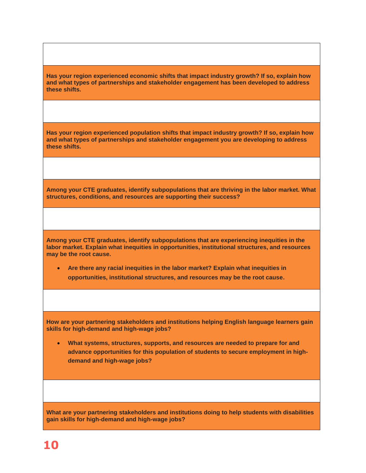**Has your region experienced economic shifts that impact industry growth? If so, explain how and what types of partnerships and stakeholder engagement has been developed to address these shifts.**

**Has your region experienced population shifts that impact industry growth? If so, explain how and what types of partnerships and stakeholder engagement you are developing to address these shifts.**

**Among your CTE graduates, identify subpopulations that are thriving in the labor market. What structures, conditions, and resources are supporting their success?**

**Among your CTE graduates, identify subpopulations that are experiencing inequities in the labor market. Explain what inequities in opportunities, institutional structures, and resources may be the root cause.**

 **Are there any racial inequities in the labor market? Explain what inequities in opportunities, institutional structures, and resources may be the root cause.**

**How are your partnering stakeholders and institutions helping English language learners gain skills for high-demand and high-wage jobs?**

 **What systems, structures, supports, and resources are needed to prepare for and advance opportunities for this population of students to secure employment in highdemand and high-wage jobs?**

**What are your partnering stakeholders and institutions doing to help students with disabilities gain skills for high-demand and high-wage jobs?**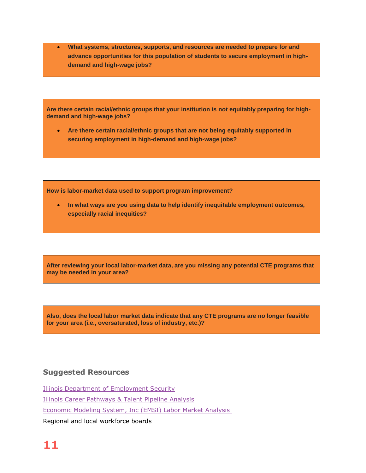**What systems, structures, supports, and resources are needed to prepare for and advance opportunities for this population of students to secure employment in highdemand and high-wage jobs?**

**Are there certain racial/ethnic groups that your institution is not equitably preparing for highdemand and high-wage jobs?**

 **Are there certain racial/ethnic groups that are not being equitably supported in securing employment in high-demand and high-wage jobs?**

**How is labor-market data used to support program improvement?**

 **In what ways are you using data to help identify inequitable employment outcomes, especially racial inequities?**

**After reviewing your local labor-market data, are you missing any potential CTE programs that may be needed in your area?**

**Also, does the local labor market data indicate that any CTE programs are no longer feasible for your area (i.e., oversaturated, loss of industry, etc.)?**

#### **Suggested Resources**

Illinois Department of Employment Security Illinois Career Pathways & Talent Pipeline Analysis Economic Modeling System, Inc (EMSI) Labor Market Analysis Regional and local workforce boards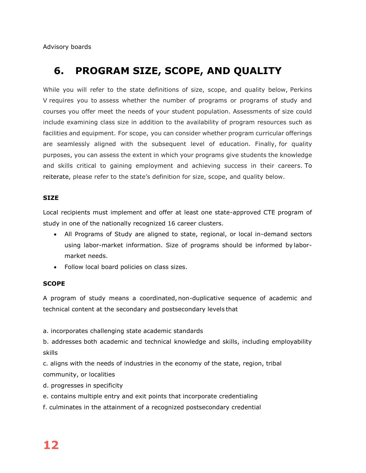Advisory boards

## **6. PROGRAM SIZE, SCOPE, AND QUALITY**

While you will refer to the state definitions of size, scope, and quality below, Perkins V requires you to assess whether the number of programs or programs of study and courses you offer meet the needs of your student population. Assessments of size could include examining class size in addition to the availability of program resources such as facilities and equipment. For scope, you can consider whether program curricular offerings are seamlessly aligned with the subsequent level of education. Finally, for quality purposes, you can assess the extent in which your programs give students the knowledge and skills critical to gaining employment and achieving success in their careers. To reiterate, please refer to the state's definition for size, scope, and quality below.

#### **SIZE**

Local recipients must implement and offer at least one state-approved CTE program of study in one of the nationally recognized 16 career clusters. 

- All Programs of Study are aligned to state, regional, or local in-demand sectors using labor-market information. Size of programs should be informed by labormarket needs.
- Follow local board policies on class sizes.

#### **SCOPE**

A program of study means a coordinated, non-duplicative sequence of academic and technical content at the secondary and postsecondary levels that

a. incorporates challenging state academic standards 

b. addresses both academic and technical knowledge and skills, including employability skills 

c. aligns with the needs of industries in the economy of the state, region, tribal community, or localities

- d. progresses in specificity
- e. contains multiple entry and exit points that incorporate credentialing
- f. culminates in the attainment of a recognized postsecondary credential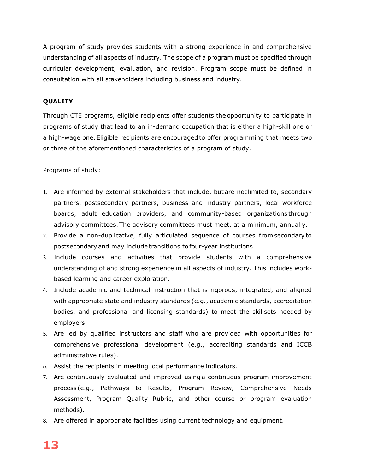A program of study provides students with a strong experience in and comprehensive understanding of all aspects of industry. The scope of a program must be specified through curricular development, evaluation, and revision. Program scope must be defined in consultation with all stakeholders including business and industry.

#### **QUALITY**

Through CTE programs, eligible recipients offer students the opportunity to participate in programs of study that lead to an in-demand occupation that is either a high-skill one or a high-wage one. Eligible recipients are encouraged to offer programming that meets two or three of the aforementioned characteristics of a program of study.

Programs of study:

- 1. Are informed by external stakeholders that include, but are not limited to, secondary partners, postsecondary partners, business and industry partners, local workforce boards, adult education providers, and community-based organizations through advisory committees. The advisory committees must meet, at a minimum, annually.
- 2. Provide a non-duplicative, fully articulated sequence of courses from secondary to postsecondary and may include transitions to four-year institutions.
- 3. Include courses and activities that provide students with a comprehensive understanding of and strong experience in all aspects of industry. This includes workbased learning and career exploration.
- 4. Include academic and technical instruction that is rigorous, integrated, and aligned with appropriate state and industry standards (e.g., academic standards, accreditation bodies, and professional and licensing standards) to meet the skillsets needed by employers.
- 5. Are led by qualified instructors and staff who are provided with opportunities for comprehensive professional development (e.g., accrediting standards and ICCB administrative rules).
- *6.* Assist the recipients in meeting local performance indicators.
- 7. Are continuously evaluated and improved using a continuous program improvement process (e.g., Pathways to Results, Program Review, Comprehensive Needs Assessment, Program Quality Rubric, and other course or program evaluation methods).
- 8. Are offered in appropriate facilities using current technology and equipment.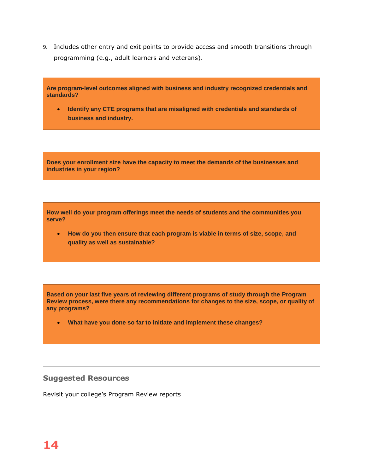9. Includes other entry and exit points to provide access and smooth transitions through programming (e.g., adult learners and veterans).

| Are program-level outcomes aligned with business and industry recognized credentials and<br>standards?<br>Identify any CTE programs that are misaligned with credentials and standards of<br>$\bullet$<br>business and industry. |
|----------------------------------------------------------------------------------------------------------------------------------------------------------------------------------------------------------------------------------|
|                                                                                                                                                                                                                                  |
|                                                                                                                                                                                                                                  |
| Does your enrollment size have the capacity to meet the demands of the businesses and<br>industries in your region?                                                                                                              |
|                                                                                                                                                                                                                                  |
| How well do your program offerings meet the needs of students and the communities you<br>serve?                                                                                                                                  |
| How do you then ensure that each program is viable in terms of size, scope, and<br>$\bullet$<br>quality as well as sustainable?                                                                                                  |
|                                                                                                                                                                                                                                  |
| Based on your last five years of reviewing different programs of study through the Program<br>Review process, were there any recommendations for changes to the size, scope, or quality of<br>any programs?                      |
| What have you done so far to initiate and implement these changes?                                                                                                                                                               |
|                                                                                                                                                                                                                                  |

#### **Suggested Resources**

Revisit your college's Program Review reports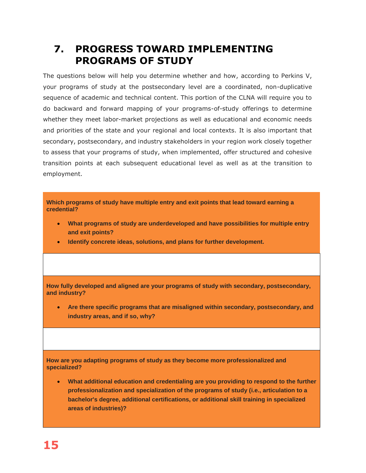## **7. PROGRESS TOWARD IMPLEMENTING PROGRAMS OF STUDY**

The questions below will help you determine whether and how, according to Perkins V, your programs of study at the postsecondary level are a coordinated, non-duplicative sequence of academic and technical content. This portion of the CLNA will require you to do backward and forward mapping of your programs-of-study offerings to determine whether they meet labor-market projections as well as educational and economic needs and priorities of the state and your regional and local contexts. It is also important that secondary, postsecondary, and industry stakeholders in your region work closely together to assess that your programs of study, when implemented, offer structured and cohesive transition points at each subsequent educational level as well as at the transition to employment.

**Which programs of study have multiple entry and exit points that lead toward earning a credential?**

- **What programs of study are underdeveloped and have possibilities for multiple entry and exit points?**
- **Identify concrete ideas, solutions, and plans for further development.**

**How fully developed and aligned are your programs of study with secondary, postsecondary, and industry?**

 **Are there specific programs that are misaligned within secondary, postsecondary, and industry areas, and if so, why?**

**How are you adapting programs of study as they become more professionalized and specialized?**

 **What additional education and credentialing are you providing to respond to the further professionalization and specialization of the programs of study (i.e., articulation to a bachelor's degree, additional certifications, or additional skill training in specialized areas of industries)?**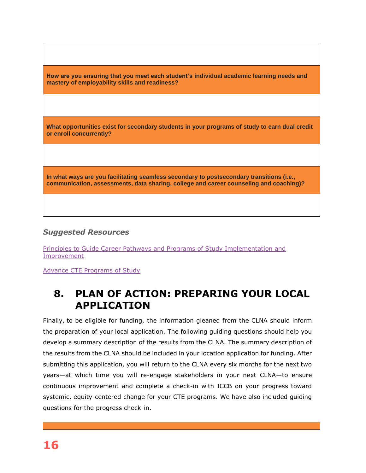**How are you ensuring that you meet each student's individual academic learning needs and mastery of employability skills and readiness? What opportunities exist for secondary students in your programs of study to earn dual credit or enroll concurrently? In what ways are you facilitating seamless secondary to postsecondary transitions (i.e., communication, assessments, data sharing, college and career counseling and coaching)?**

#### *Suggested Resources*

Principles to Guide Career Pathways and Programs of Study Implementation and Improvement

Advance CTE Programs of Study

## **8. PLAN OF ACTION: PREPARING YOUR LOCAL APPLICATION**

Finally, to be eligible for funding, the information gleaned from the CLNA should inform the preparation of your local application. The following guiding questions should help you develop a summary description of the results from the CLNA. The summary description of the results from the CLNA should be included in your location application for funding. After submitting this application, you will return to the CLNA every six months for the next two years—at which time you will re-engage stakeholders in your next CLNA—to ensure continuous improvement and complete a check-in with ICCB on your progress toward systemic, equity-centered change for your CTE programs. We have also included guiding questions for the progress check-in.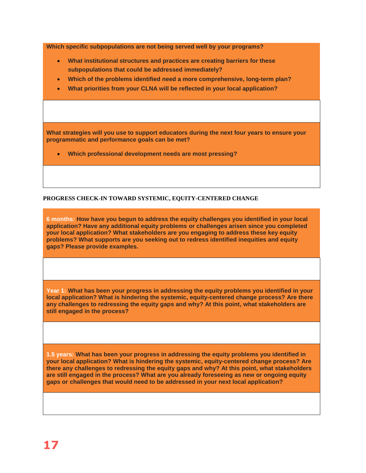**Which specific subpopulations are not being served well by your programs?**

- **What institutional structures and practices are creating barriers for these subpopulations that could be addressed immediately?**
- **Which of the problems identified need a more comprehensive, long-term plan?**
- **What priorities from your CLNA will be reflected in your local application?**

**What strategies will you use to support educators during the next four years to ensure your programmatic and performance goals can be met?**

**Which professional development needs are most pressing?**

#### **PROGRESS CHECK-IN TOWARD SYSTEMIC, EQUITY-CENTERED CHANGE**

**6 months: How have you begun to address the equity challenges you identified in your local application? Have any additional equity problems or challenges arisen since you completed your local application? What stakeholders are you engaging to address these key equity problems? What supports are you seeking out to redress identified inequities and equity gaps? Please provide examples.**

**Year 1: What has been your progress in addressing the equity problems you identified in your local application? What is hindering the systemic, equity-centered change process? Are there any challenges to redressing the equity gaps and why? At this point, what stakeholders are still engaged in the process?**

**1.5 years: What has been your progress in addressing the equity problems you identified in your local application? What is hindering the systemic, equity-centered change process? Are there any challenges to redressing the equity gaps and why? At this point, what stakeholders are still engaged in the process? What are you already foreseeing as new or ongoing equity gaps or challenges that would need to be addressed in your next local application?**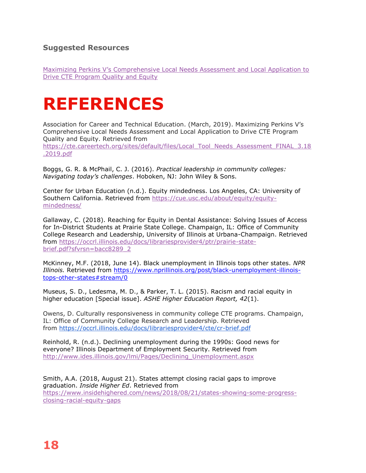#### **Suggested Resources**

Maximizing Perkins V's Comprehensive Local Needs Assessment and Local Application to Drive CTE Program Quality and Equity

## **REFERENCES**

Association for Career and Technical Education. (March, 2019). Maximizing Perkins V's Comprehensive Local Needs Assessment and Local Application to Drive CTE Program Quality and Equity. Retrieved from https://cte.careertech.org/sites/default/files/Local\_Tool\_Needs\_Assessment\_FINAL\_3.18 .2019.pdf

Boggs, G. R. & McPhail, C. J. (2016). *Practical leadership in community colleges: Navigating today's challenges*. Hoboken, NJ: John Wiley & Sons.

Center for Urban Education (n.d.). Equity mindedness. Los Angeles, CA: University of Southern California. Retrieved from https://cue.usc.edu/about/equity/equitymindedness/

Gallaway, C. (2018). Reaching for Equity in Dental Assistance: Solving Issues of Access for In-District Students at Prairie State College. Champaign, IL: Office of Community College Research and Leadership, University of Illinois at Urbana-Champaign. Retrieved from https://occrl.illinois.edu/docs/librariesprovider4/ptr/prairie-statebrief.pdf?sfvrsn=bacc8289\_2

McKinney, M.F. (2018, June 14). Black unemployment in Illinois tops other states. *NPR Illinois.* Retrieved from https://www.nprillinois.org/post/black-unemployment-illinoistops-other-states#stream/0

Museus, S. D., Ledesma, M. D., & Parker, T. L. (2015). Racism and racial equity in higher education [Special issue]. *ASHE Higher Education Report, 42*(1).

Owens, D. Culturally responsiveness in community college CTE programs. Champaign, IL: Office of Community College Research and Leadership. Retrieved from https://occrl.illinois.edu/docs/librariesprovider4/cte/cr-brief.pdf

Reinhold, R. (n.d.). Declining unemployment during the 1990s: Good news for everyone? Illinois Department of Employment Security. Retrieved from http://www.ides.illinois.gov/lmi/Pages/Declining\_Unemployment.aspx

Smith, A.A. (2018, August 21). States attempt closing racial gaps to improve graduation. *Inside Higher Ed*. Retrieved from https://www.insidehighered.com/news/2018/08/21/states-showing-some-progressclosing-racial-equity-gaps